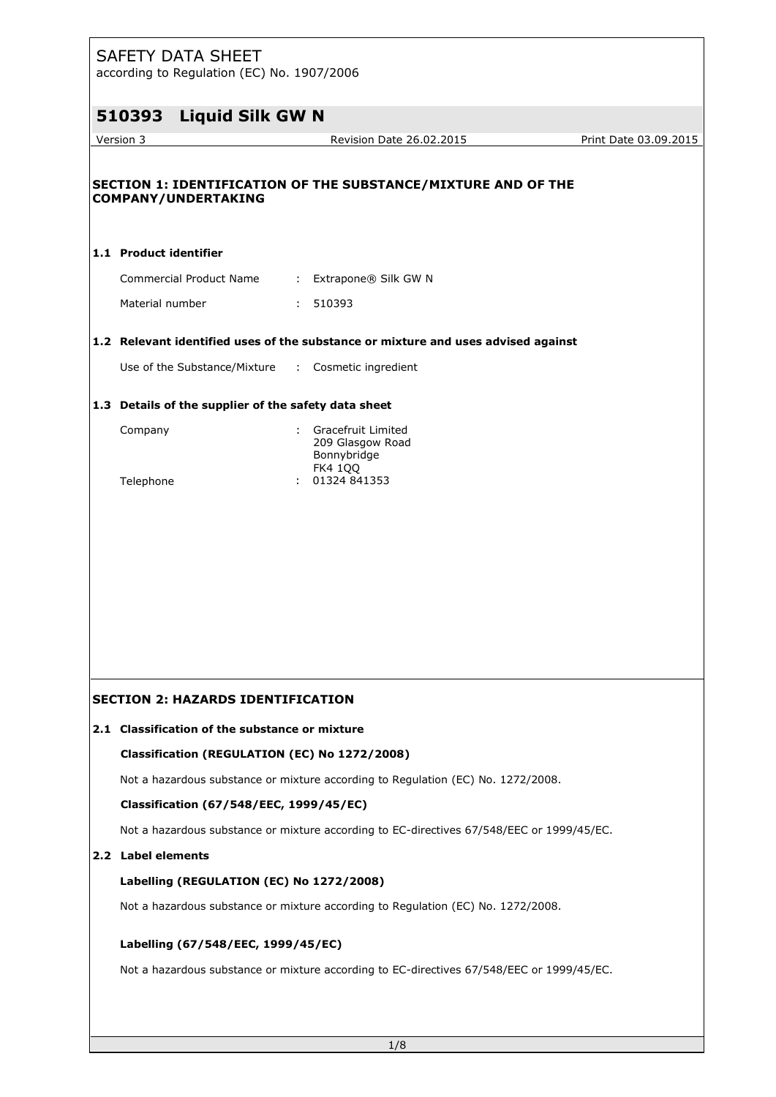according to Regulation (EC) No. 1907/2006

| 510393                 | <b>Liquid Silk GW N</b>                              |    |                                                                                           |                       |
|------------------------|------------------------------------------------------|----|-------------------------------------------------------------------------------------------|-----------------------|
| Version 3              |                                                      |    | Revision Date 26.02.2015                                                                  | Print Date 03.09.2015 |
|                        | <b>COMPANY/UNDERTAKING</b>                           |    | SECTION 1: IDENTIFICATION OF THE SUBSTANCE/MIXTURE AND OF THE                             |                       |
| 1.1 Product identifier |                                                      |    |                                                                                           |                       |
|                        | Commercial Product Name                              |    | : Extrapone® Silk GW N                                                                    |                       |
| Material number        |                                                      |    | : 510393                                                                                  |                       |
|                        |                                                      |    | 1.2 Relevant identified uses of the substance or mixture and uses advised against         |                       |
|                        | Use of the Substance/Mixture                         |    | : Cosmetic ingredient                                                                     |                       |
|                        | 1.3 Details of the supplier of the safety data sheet |    |                                                                                           |                       |
| Company                |                                                      | t. | Gracefruit Limited<br>209 Glasgow Road<br>Bonnybridge<br><b>FK4 1QQ</b>                   |                       |
| Telephone              |                                                      |    | 01324 841353                                                                              |                       |
|                        |                                                      |    |                                                                                           |                       |
|                        |                                                      |    |                                                                                           |                       |
|                        |                                                      |    |                                                                                           |                       |
|                        |                                                      |    |                                                                                           |                       |
|                        |                                                      |    |                                                                                           |                       |
|                        | <b>SECTION 2: HAZARDS IDENTIFICATION</b>             |    |                                                                                           |                       |
|                        | 2.1 Classification of the substance or mixture       |    |                                                                                           |                       |
|                        | Classification (REGULATION (EC) No 1272/2008)        |    |                                                                                           |                       |
|                        |                                                      |    | Not a hazardous substance or mixture according to Regulation (EC) No. 1272/2008.          |                       |
|                        | Classification (67/548/EEC, 1999/45/EC)              |    |                                                                                           |                       |
|                        |                                                      |    | Not a hazardous substance or mixture according to EC-directives 67/548/EEC or 1999/45/EC. |                       |
| 2.2 Label elements     |                                                      |    |                                                                                           |                       |
|                        | Labelling (REGULATION (EC) No 1272/2008)             |    |                                                                                           |                       |
|                        |                                                      |    | Not a hazardous substance or mixture according to Regulation (EC) No. 1272/2008.          |                       |
|                        | Labelling (67/548/EEC, 1999/45/EC)                   |    |                                                                                           |                       |
|                        |                                                      |    | Not a hazardous substance or mixture according to EC-directives 67/548/EEC or 1999/45/EC. |                       |
|                        |                                                      |    |                                                                                           |                       |
|                        |                                                      |    |                                                                                           |                       |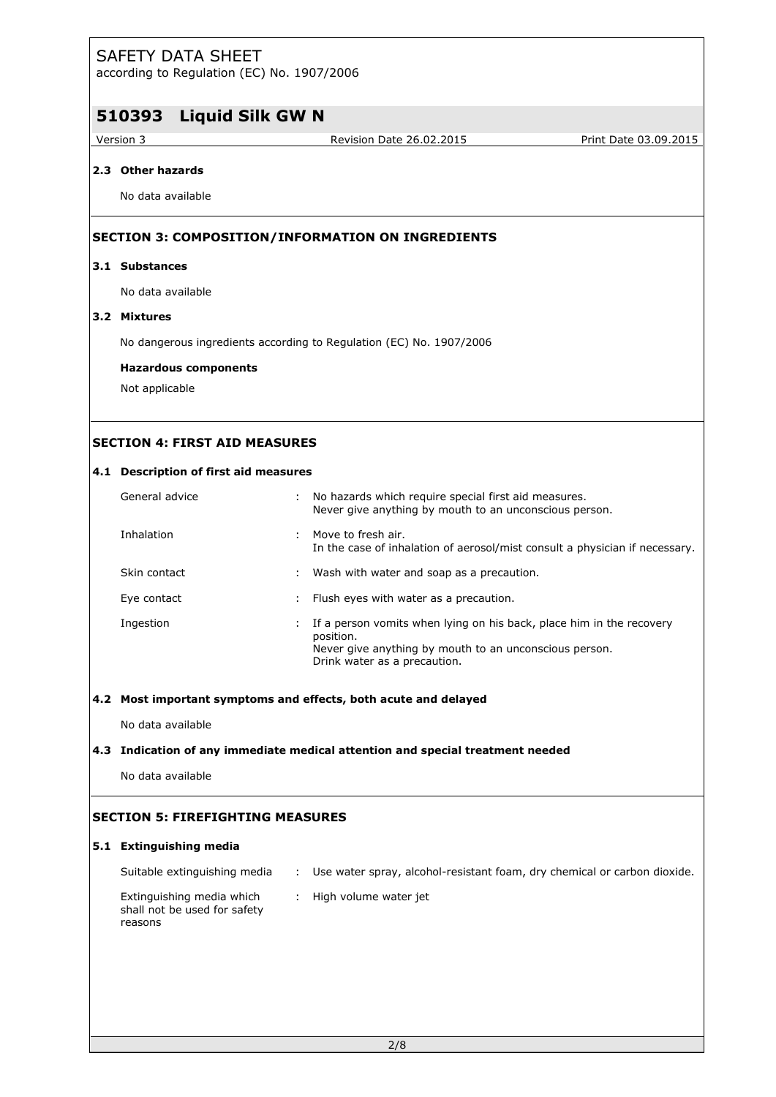according to Regulation (EC) No. 1907/2006

# **510393 Liquid Silk GW N**

Version 3 Revision Date 26.02.2015 Print Date 03.09.2015

# **2.3 Other hazards**

No data available

### **SECTION 3: COMPOSITION/INFORMATION ON INGREDIENTS**

#### **3.1 Substances**

No data available

## **3.2 Mixtures**

No dangerous ingredients according to Regulation (EC) No. 1907/2006

#### **Hazardous components**

Not applicable

# **SECTION 4: FIRST AID MEASURES**

#### **4.1 Description of first aid measures**

| General advice |   | : No hazards which require special first aid measures.<br>Never give anything by mouth to an unconscious person.                                                            |
|----------------|---|-----------------------------------------------------------------------------------------------------------------------------------------------------------------------------|
| Inhalation     |   | : Move to fresh air.<br>In the case of inhalation of aerosol/mist consult a physician if necessary.                                                                         |
| Skin contact   |   | : Wash with water and soap as a precaution.                                                                                                                                 |
| Eye contact    |   | : Flush eyes with water as a precaution.                                                                                                                                    |
| Ingestion      | ÷ | If a person vomits when lying on his back, place him in the recovery<br>position.<br>Never give anything by mouth to an unconscious person.<br>Drink water as a precaution. |

#### **4.2 Most important symptoms and effects, both acute and delayed**

No data available

### **4.3 Indication of any immediate medical attention and special treatment needed**

No data available

# **SECTION 5: FIREFIGHTING MEASURES**

#### **5.1 Extinguishing media**

| Suitable extinguishing media                                         | : Use water spray, alcohol-resistant foam, dry chemical or carbon dioxide. |
|----------------------------------------------------------------------|----------------------------------------------------------------------------|
| Extinguishing media which<br>shall not be used for safety<br>reasons | High volume water jet                                                      |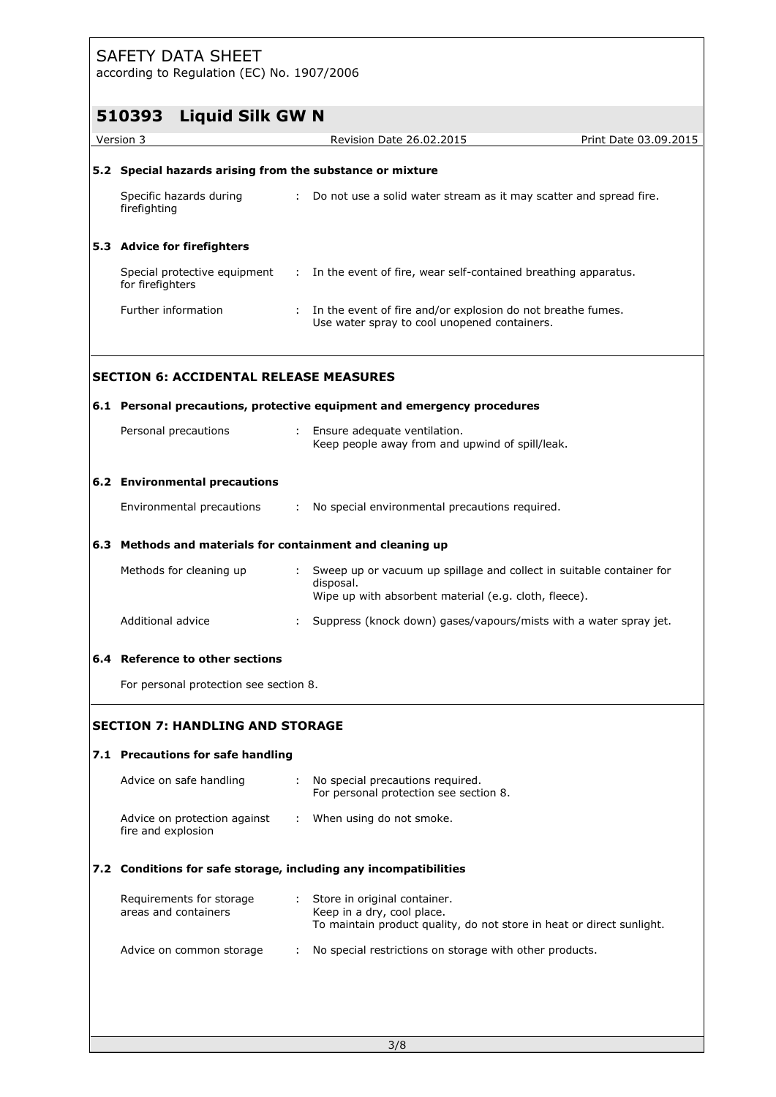according to Regulation (EC) No. 1907/2006

|                                                    | according to regulation (EC) NO. 1507/2000                                                                                                   |                                                                       |
|----------------------------------------------------|----------------------------------------------------------------------------------------------------------------------------------------------|-----------------------------------------------------------------------|
| <b>Liquid Silk GW N</b><br>510393                  | Revision Date 26.02.2015                                                                                                                     | Print Date 03.09.2015                                                 |
|                                                    |                                                                                                                                              |                                                                       |
|                                                    | 5.2 Special hazards arising from the substance or mixture                                                                                    |                                                                       |
| Specific hazards during<br>firefighting            | : Do not use a solid water stream as it may scatter and spread fire.                                                                         |                                                                       |
| 5.3 Advice for firefighters                        |                                                                                                                                              |                                                                       |
| for firefighters                                   | Special protective equipment : In the event of fire, wear self-contained breathing apparatus.                                                |                                                                       |
| Further information                                | : In the event of fire and/or explosion do not breathe fumes.<br>Use water spray to cool unopened containers.                                |                                                                       |
| <b>SECTION 6: ACCIDENTAL RELEASE MEASURES</b>      |                                                                                                                                              |                                                                       |
|                                                    | 6.1 Personal precautions, protective equipment and emergency procedures                                                                      |                                                                       |
| Personal precautions                               | : Ensure adequate ventilation.<br>Keep people away from and upwind of spill/leak.                                                            |                                                                       |
| 6.2 Environmental precautions                      |                                                                                                                                              |                                                                       |
| Environmental precautions                          | : No special environmental precautions required.                                                                                             |                                                                       |
|                                                    | 6.3 Methods and materials for containment and cleaning up                                                                                    |                                                                       |
| Methods for cleaning up                            | : Sweep up or vacuum up spillage and collect in suitable container for<br>disposal.<br>Wipe up with absorbent material (e.g. cloth, fleece). |                                                                       |
| Additional advice                                  | Suppress (knock down) gases/vapours/mists with a water spray jet.                                                                            |                                                                       |
| 6.4 Reference to other sections                    |                                                                                                                                              |                                                                       |
| For personal protection see section 8.             |                                                                                                                                              |                                                                       |
| <b>SECTION 7: HANDLING AND STORAGE</b>             |                                                                                                                                              |                                                                       |
| 7.1 Precautions for safe handling                  |                                                                                                                                              |                                                                       |
| Advice on safe handling                            | No special precautions required.<br>÷<br>For personal protection see section 8.                                                              |                                                                       |
| Advice on protection against<br>fire and explosion | : When using do not smoke.                                                                                                                   |                                                                       |
|                                                    | 7.2 Conditions for safe storage, including any incompatibilities                                                                             |                                                                       |
| Requirements for storage<br>areas and containers   | Store in original container.<br>÷<br>Keep in a dry, cool place.                                                                              |                                                                       |
| Advice on common storage                           | No special restrictions on storage with other products.<br>÷                                                                                 |                                                                       |
|                                                    |                                                                                                                                              | To maintain product quality, do not store in heat or direct sunlight. |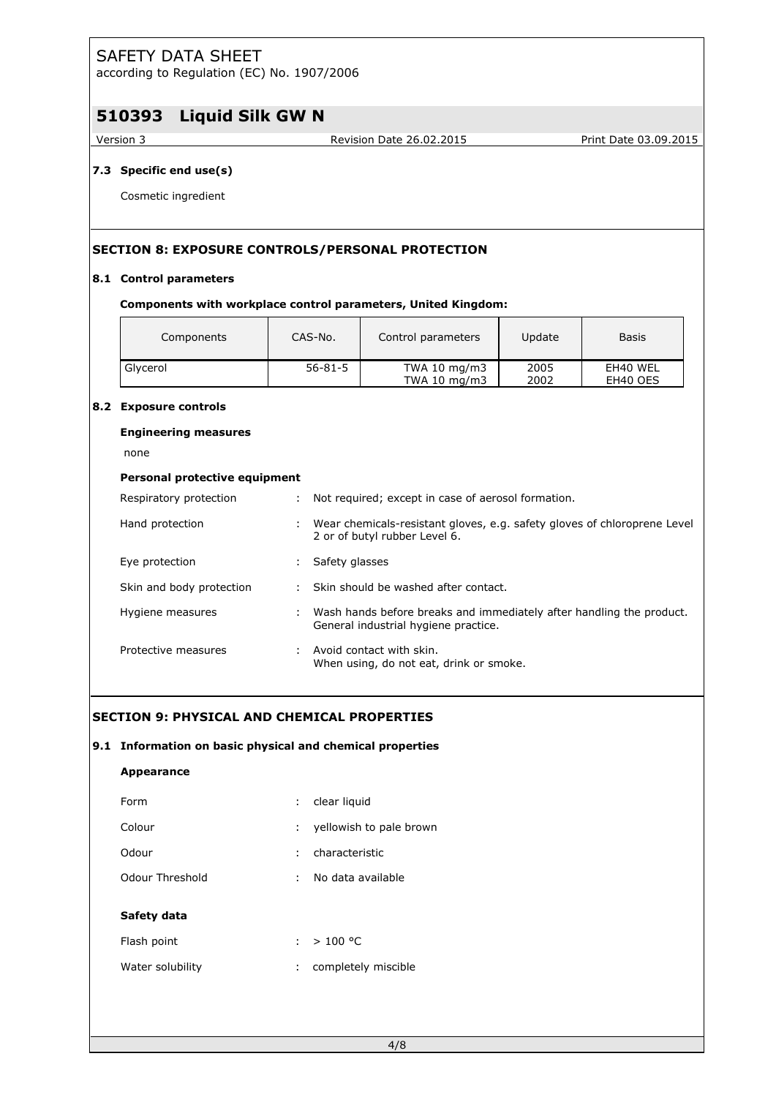according to Regulation (EC) No. 1907/2006

# **510393 Liquid Silk GW N**

Version 3 Revision Date 26.02.2015 Print Date 03.09.2015

### **7.3 Specific end use(s)**

Cosmetic ingredient

# **SECTION 8: EXPOSURE CONTROLS/PERSONAL PROTECTION**

### **8.1 Control parameters**

#### **Components with workplace control parameters, United Kingdom:**

| Components | CAS-No.       | Control parameters               | Update       | <b>Basis</b>         |
|------------|---------------|----------------------------------|--------------|----------------------|
| Glycerol   | $56 - 81 - 5$ | TWA 10 $mg/m3$<br>TWA 10 $mg/m3$ | 2005<br>2002 | EH40 WEL<br>EH40 OES |

#### **8.2 Exposure controls**

#### **Engineering measures**

none

# **Personal protective equipment**

| Respiratory protection   |   | : Not required; except in case of aerosol formation.                                                           |
|--------------------------|---|----------------------------------------------------------------------------------------------------------------|
| Hand protection          |   | : Wear chemicals-resistant gloves, e.g. safety gloves of chloroprene Level<br>2 or of butyl rubber Level 6.    |
| Eye protection           | ÷ | Safety glasses                                                                                                 |
| Skin and body protection |   | : Skin should be washed after contact.                                                                         |
| Hygiene measures         |   | : Wash hands before breaks and immediately after handling the product.<br>General industrial hygiene practice. |
| Protective measures      |   | : Avoid contact with skin.<br>When using, do not eat, drink or smoke.                                          |

# **SECTION 9: PHYSICAL AND CHEMICAL PROPERTIES**

#### **9.1 Information on basic physical and chemical properties**

| <b>Appearance</b> |                              |
|-------------------|------------------------------|
| Form              | : clear liquid               |
| Colour            | yellowish to pale brown<br>÷ |
| Odour             | characteristic<br>÷.         |
| Odour Threshold   | No data available<br>÷.      |
| Safety data       |                              |
|                   |                              |
| Flash point       | : $> 100 °C$                 |
| Water solubility  | completely miscible          |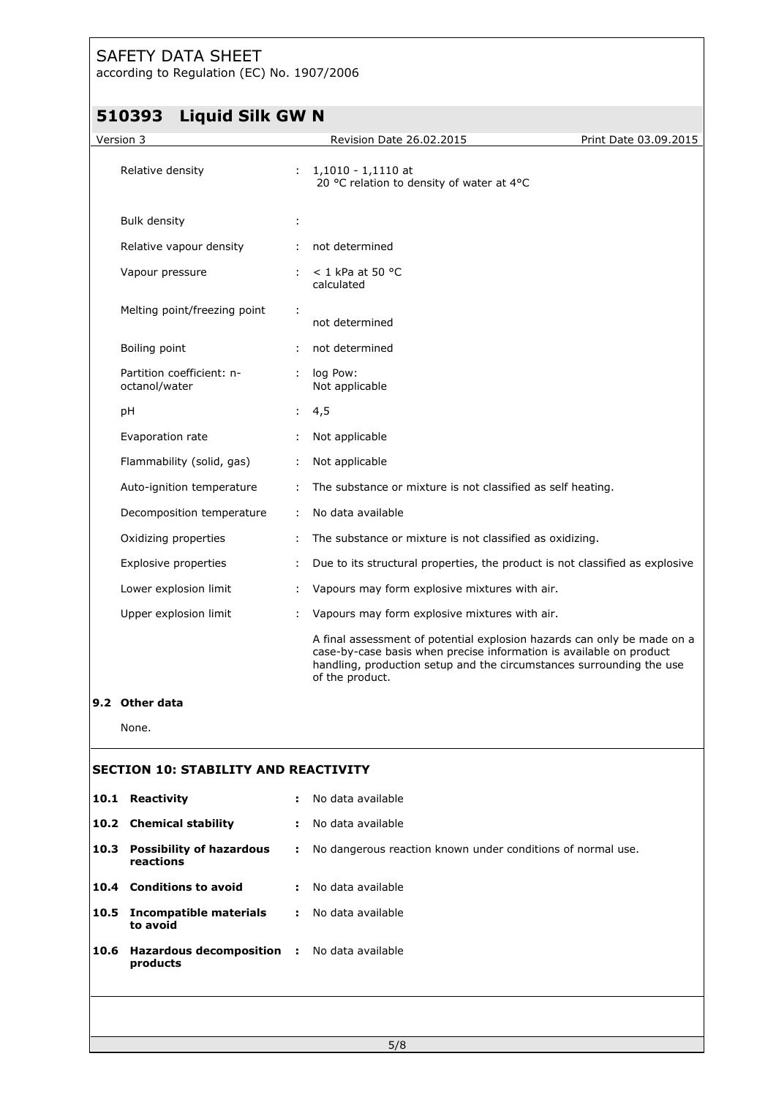according to Regulation (EC) No. 1907/2006

# **510393 Liquid Silk GW N**

|           | 510393<br>LIQUIQ SIIK GW N                   |    |                                                                                                                                                                                                                                           |                       |
|-----------|----------------------------------------------|----|-------------------------------------------------------------------------------------------------------------------------------------------------------------------------------------------------------------------------------------------|-----------------------|
| Version 3 |                                              |    | Revision Date 26.02.2015                                                                                                                                                                                                                  | Print Date 03.09.2015 |
|           | Relative density                             |    | 1,1010 - 1,1110 at<br>20 °C relation to density of water at 4°C                                                                                                                                                                           |                       |
|           | <b>Bulk density</b>                          | ÷  |                                                                                                                                                                                                                                           |                       |
|           | Relative vapour density                      | ÷. | not determined                                                                                                                                                                                                                            |                       |
|           | Vapour pressure                              |    | $<$ 1 kPa at 50 °C<br>calculated                                                                                                                                                                                                          |                       |
|           | Melting point/freezing point                 | ÷  | not determined                                                                                                                                                                                                                            |                       |
|           | Boiling point                                |    | not determined                                                                                                                                                                                                                            |                       |
|           | Partition coefficient: n-<br>octanol/water   | ÷. | log Pow:<br>Not applicable                                                                                                                                                                                                                |                       |
|           | рH                                           | ÷  | 4,5                                                                                                                                                                                                                                       |                       |
|           | Evaporation rate                             | ÷. | Not applicable                                                                                                                                                                                                                            |                       |
|           | Flammability (solid, gas)                    | ÷. | Not applicable                                                                                                                                                                                                                            |                       |
|           | Auto-ignition temperature                    |    | The substance or mixture is not classified as self heating.                                                                                                                                                                               |                       |
|           | Decomposition temperature                    | ÷. | No data available                                                                                                                                                                                                                         |                       |
|           | Oxidizing properties                         | ÷  | The substance or mixture is not classified as oxidizing.                                                                                                                                                                                  |                       |
|           | Explosive properties                         | ÷  | Due to its structural properties, the product is not classified as explosive                                                                                                                                                              |                       |
|           | Lower explosion limit                        | ÷. | Vapours may form explosive mixtures with air.                                                                                                                                                                                             |                       |
|           | Upper explosion limit                        |    | Vapours may form explosive mixtures with air.                                                                                                                                                                                             |                       |
|           |                                              |    | A final assessment of potential explosion hazards can only be made on a<br>case-by-case basis when precise information is available on product<br>handling, production setup and the circumstances surrounding the use<br>of the product. |                       |
|           | 9.2 Other data                               |    |                                                                                                                                                                                                                                           |                       |
|           | None.                                        |    |                                                                                                                                                                                                                                           |                       |
|           | <b>SECTION 10: STABILITY AND REACTIVITY</b>  |    |                                                                                                                                                                                                                                           |                       |
| 10.1      | Reactivity                                   |    | No data available                                                                                                                                                                                                                         |                       |
|           | 10.2 Chemical stability                      | ÷  | No data available                                                                                                                                                                                                                         |                       |
| 10.3      | <b>Possibility of hazardous</b><br>reactions | ÷. | No dangerous reaction known under conditions of normal use.                                                                                                                                                                               |                       |
|           | 10.4 Conditions to avoid                     | ÷  | No data available                                                                                                                                                                                                                         |                       |
| 10.5      | <b>Incompatible materials</b><br>to avoid    | э. | No data available                                                                                                                                                                                                                         |                       |
| 10.6      | Hazardous decomposition :<br>products        |    | No data available                                                                                                                                                                                                                         |                       |
|           |                                              |    |                                                                                                                                                                                                                                           |                       |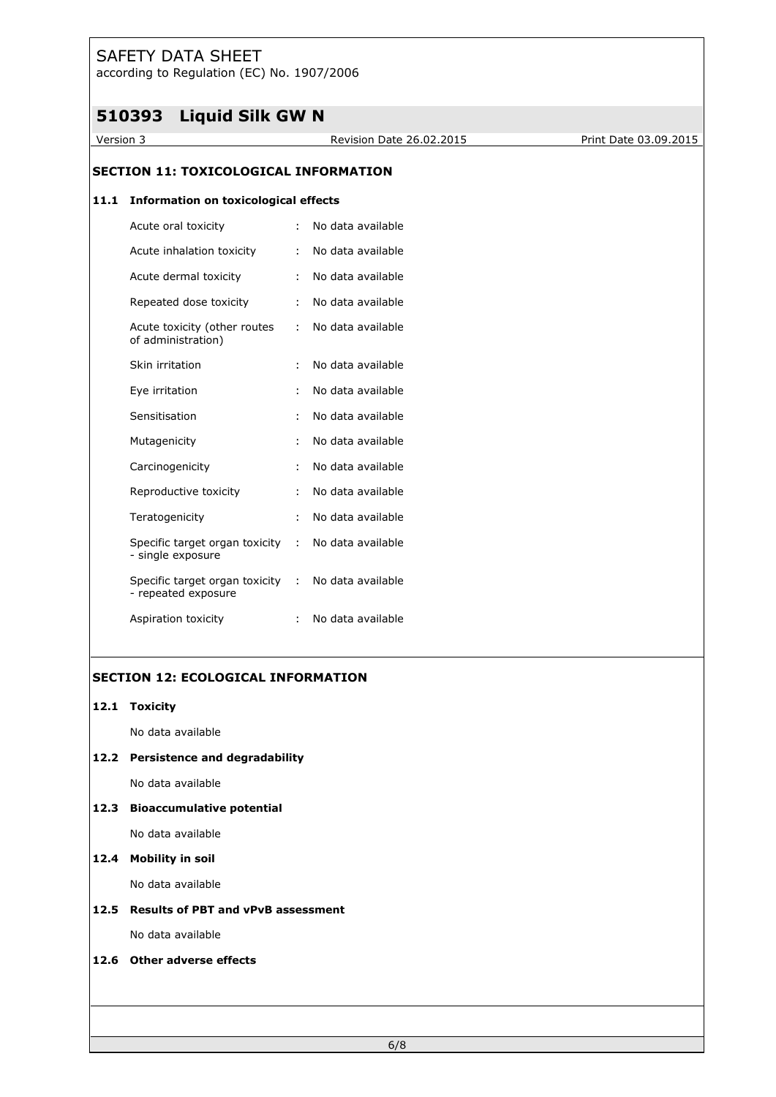according to Regulation (EC) No. 1907/2006

# **510393 Liquid Silk GW N**

Version 3 Revision Date 26.02.2015 Print Date 03.09.2015

### **SECTION 11: TOXICOLOGICAL INFORMATION**

#### **11.1 Information on toxicological effects**

| Acute oral toxicity                                   | t             | No data available |
|-------------------------------------------------------|---------------|-------------------|
| Acute inhalation toxicity                             | ÷             | No data available |
| Acute dermal toxicity                                 | ÷.            | No data available |
| Repeated dose toxicity                                | ÷             | No data available |
| Acute toxicity (other routes<br>of administration)    | ÷             | No data available |
| Skin irritation                                       | ÷.            | No data available |
| Eye irritation                                        | ÷             | No data available |
| Sensitisation                                         | ÷             | No data available |
| Mutagenicity                                          | ÷             | No data available |
| Carcinogenicity                                       | ÷             | No data available |
| Reproductive toxicity                                 | ÷             | No data available |
| Teratogenicity                                        | t             | No data available |
| Specific target organ toxicity<br>- single exposure   | ÷.            | No data available |
| Specific target organ toxicity<br>- repeated exposure | $\mathcal{L}$ | No data available |
| Aspiration toxicity                                   |               | No data available |

# **SECTION 12: ECOLOGICAL INFORMATION**

# **12.1 Toxicity**

No data available

### **12.2 Persistence and degradability**

No data available

### **12.3 Bioaccumulative potential**

No data available

### **12.4 Mobility in soil**

No data available

# **12.5 Results of PBT and vPvB assessment**

No data available

### **12.6 Other adverse effects**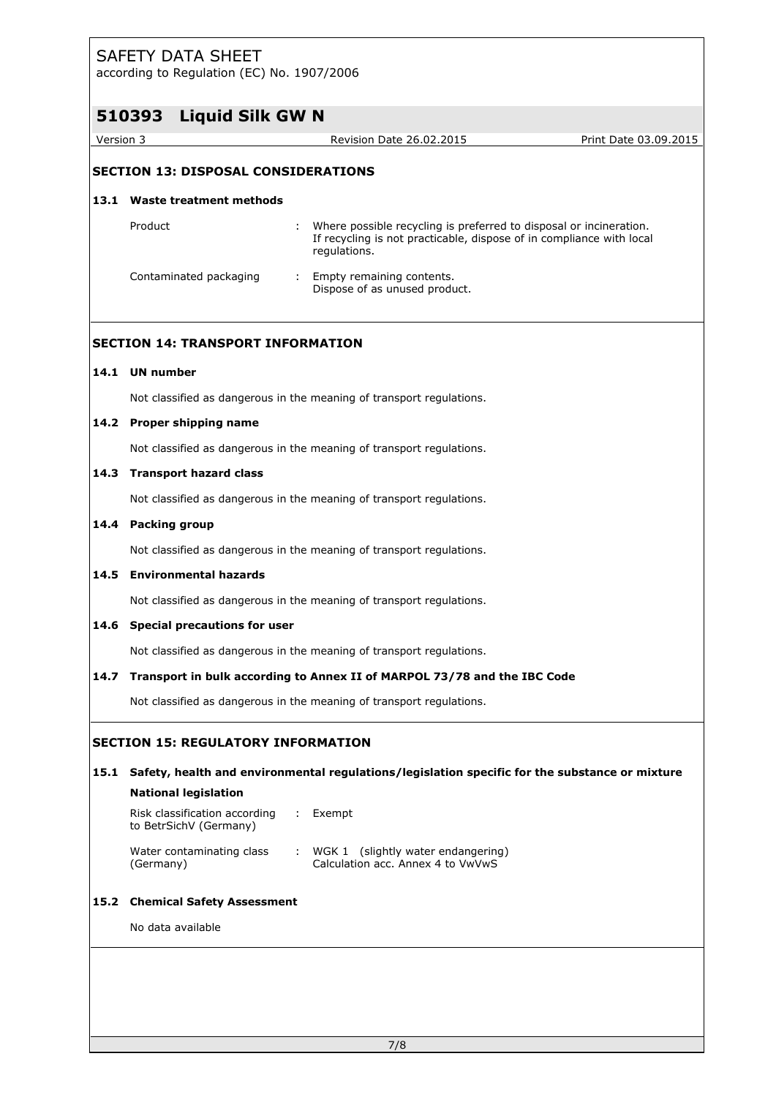| <b>Liquid Silk GW N</b><br>510393<br>Version 3<br>Revision Date 26.02.2015<br><b>SECTION 13: DISPOSAL CONSIDERATIONS</b><br><b>Waste treatment methods</b><br>13.1<br>Product<br>Where possible recycling is preferred to disposal or incineration.<br>If recycling is not practicable, dispose of in compliance with local<br>regulations.<br>Contaminated packaging<br>Empty remaining contents.<br>÷<br>Dispose of as unused product.<br><b>SECTION 14: TRANSPORT INFORMATION</b><br>14.1 UN number<br>Not classified as dangerous in the meaning of transport regulations.<br>14.2 Proper shipping name<br>Not classified as dangerous in the meaning of transport regulations.<br><b>Transport hazard class</b><br>14.3<br>Not classified as dangerous in the meaning of transport regulations.<br><b>Packing group</b><br>14.4<br>Not classified as dangerous in the meaning of transport regulations.<br><b>Environmental hazards</b><br>14.5<br>Not classified as dangerous in the meaning of transport regulations.<br><b>Special precautions for user</b><br>14.6<br>Not classified as dangerous in the meaning of transport regulations.<br>Transport in bulk according to Annex II of MARPOL 73/78 and the IBC Code<br>14.7<br>Not classified as dangerous in the meaning of transport regulations.<br><b>SECTION 15: REGULATORY INFORMATION</b><br>15.1 Safety, health and environmental regulations/legislation specific for the substance or mixture<br><b>National legislation</b><br>Risk classification according<br>: Exempt<br>to BetrSichV (Germany)<br>Water contaminating class<br>: WGK 1 (slightly water endangering)<br>Calculation acc. Annex 4 to VwVwS<br>(Germany)<br><b>Chemical Safety Assessment</b><br>15.2<br>No data available | according to Regulation (EC) No. 1907/2006 |  |                       |
|--------------------------------------------------------------------------------------------------------------------------------------------------------------------------------------------------------------------------------------------------------------------------------------------------------------------------------------------------------------------------------------------------------------------------------------------------------------------------------------------------------------------------------------------------------------------------------------------------------------------------------------------------------------------------------------------------------------------------------------------------------------------------------------------------------------------------------------------------------------------------------------------------------------------------------------------------------------------------------------------------------------------------------------------------------------------------------------------------------------------------------------------------------------------------------------------------------------------------------------------------------------------------------------------------------------------------------------------------------------------------------------------------------------------------------------------------------------------------------------------------------------------------------------------------------------------------------------------------------------------------------------------------------------------------------------------------------------------------------------------------------------------|--------------------------------------------|--|-----------------------|
|                                                                                                                                                                                                                                                                                                                                                                                                                                                                                                                                                                                                                                                                                                                                                                                                                                                                                                                                                                                                                                                                                                                                                                                                                                                                                                                                                                                                                                                                                                                                                                                                                                                                                                                                                                    |                                            |  |                       |
|                                                                                                                                                                                                                                                                                                                                                                                                                                                                                                                                                                                                                                                                                                                                                                                                                                                                                                                                                                                                                                                                                                                                                                                                                                                                                                                                                                                                                                                                                                                                                                                                                                                                                                                                                                    |                                            |  | Print Date 03.09.2015 |
|                                                                                                                                                                                                                                                                                                                                                                                                                                                                                                                                                                                                                                                                                                                                                                                                                                                                                                                                                                                                                                                                                                                                                                                                                                                                                                                                                                                                                                                                                                                                                                                                                                                                                                                                                                    |                                            |  |                       |
|                                                                                                                                                                                                                                                                                                                                                                                                                                                                                                                                                                                                                                                                                                                                                                                                                                                                                                                                                                                                                                                                                                                                                                                                                                                                                                                                                                                                                                                                                                                                                                                                                                                                                                                                                                    |                                            |  |                       |
|                                                                                                                                                                                                                                                                                                                                                                                                                                                                                                                                                                                                                                                                                                                                                                                                                                                                                                                                                                                                                                                                                                                                                                                                                                                                                                                                                                                                                                                                                                                                                                                                                                                                                                                                                                    |                                            |  |                       |
|                                                                                                                                                                                                                                                                                                                                                                                                                                                                                                                                                                                                                                                                                                                                                                                                                                                                                                                                                                                                                                                                                                                                                                                                                                                                                                                                                                                                                                                                                                                                                                                                                                                                                                                                                                    |                                            |  |                       |
|                                                                                                                                                                                                                                                                                                                                                                                                                                                                                                                                                                                                                                                                                                                                                                                                                                                                                                                                                                                                                                                                                                                                                                                                                                                                                                                                                                                                                                                                                                                                                                                                                                                                                                                                                                    |                                            |  |                       |
|                                                                                                                                                                                                                                                                                                                                                                                                                                                                                                                                                                                                                                                                                                                                                                                                                                                                                                                                                                                                                                                                                                                                                                                                                                                                                                                                                                                                                                                                                                                                                                                                                                                                                                                                                                    |                                            |  |                       |
|                                                                                                                                                                                                                                                                                                                                                                                                                                                                                                                                                                                                                                                                                                                                                                                                                                                                                                                                                                                                                                                                                                                                                                                                                                                                                                                                                                                                                                                                                                                                                                                                                                                                                                                                                                    |                                            |  |                       |
|                                                                                                                                                                                                                                                                                                                                                                                                                                                                                                                                                                                                                                                                                                                                                                                                                                                                                                                                                                                                                                                                                                                                                                                                                                                                                                                                                                                                                                                                                                                                                                                                                                                                                                                                                                    |                                            |  |                       |
|                                                                                                                                                                                                                                                                                                                                                                                                                                                                                                                                                                                                                                                                                                                                                                                                                                                                                                                                                                                                                                                                                                                                                                                                                                                                                                                                                                                                                                                                                                                                                                                                                                                                                                                                                                    |                                            |  |                       |
|                                                                                                                                                                                                                                                                                                                                                                                                                                                                                                                                                                                                                                                                                                                                                                                                                                                                                                                                                                                                                                                                                                                                                                                                                                                                                                                                                                                                                                                                                                                                                                                                                                                                                                                                                                    |                                            |  |                       |
|                                                                                                                                                                                                                                                                                                                                                                                                                                                                                                                                                                                                                                                                                                                                                                                                                                                                                                                                                                                                                                                                                                                                                                                                                                                                                                                                                                                                                                                                                                                                                                                                                                                                                                                                                                    |                                            |  |                       |
|                                                                                                                                                                                                                                                                                                                                                                                                                                                                                                                                                                                                                                                                                                                                                                                                                                                                                                                                                                                                                                                                                                                                                                                                                                                                                                                                                                                                                                                                                                                                                                                                                                                                                                                                                                    |                                            |  |                       |
|                                                                                                                                                                                                                                                                                                                                                                                                                                                                                                                                                                                                                                                                                                                                                                                                                                                                                                                                                                                                                                                                                                                                                                                                                                                                                                                                                                                                                                                                                                                                                                                                                                                                                                                                                                    |                                            |  |                       |
|                                                                                                                                                                                                                                                                                                                                                                                                                                                                                                                                                                                                                                                                                                                                                                                                                                                                                                                                                                                                                                                                                                                                                                                                                                                                                                                                                                                                                                                                                                                                                                                                                                                                                                                                                                    |                                            |  |                       |
|                                                                                                                                                                                                                                                                                                                                                                                                                                                                                                                                                                                                                                                                                                                                                                                                                                                                                                                                                                                                                                                                                                                                                                                                                                                                                                                                                                                                                                                                                                                                                                                                                                                                                                                                                                    |                                            |  |                       |
|                                                                                                                                                                                                                                                                                                                                                                                                                                                                                                                                                                                                                                                                                                                                                                                                                                                                                                                                                                                                                                                                                                                                                                                                                                                                                                                                                                                                                                                                                                                                                                                                                                                                                                                                                                    |                                            |  |                       |
|                                                                                                                                                                                                                                                                                                                                                                                                                                                                                                                                                                                                                                                                                                                                                                                                                                                                                                                                                                                                                                                                                                                                                                                                                                                                                                                                                                                                                                                                                                                                                                                                                                                                                                                                                                    |                                            |  |                       |
|                                                                                                                                                                                                                                                                                                                                                                                                                                                                                                                                                                                                                                                                                                                                                                                                                                                                                                                                                                                                                                                                                                                                                                                                                                                                                                                                                                                                                                                                                                                                                                                                                                                                                                                                                                    |                                            |  |                       |
|                                                                                                                                                                                                                                                                                                                                                                                                                                                                                                                                                                                                                                                                                                                                                                                                                                                                                                                                                                                                                                                                                                                                                                                                                                                                                                                                                                                                                                                                                                                                                                                                                                                                                                                                                                    |                                            |  |                       |
|                                                                                                                                                                                                                                                                                                                                                                                                                                                                                                                                                                                                                                                                                                                                                                                                                                                                                                                                                                                                                                                                                                                                                                                                                                                                                                                                                                                                                                                                                                                                                                                                                                                                                                                                                                    |                                            |  |                       |
|                                                                                                                                                                                                                                                                                                                                                                                                                                                                                                                                                                                                                                                                                                                                                                                                                                                                                                                                                                                                                                                                                                                                                                                                                                                                                                                                                                                                                                                                                                                                                                                                                                                                                                                                                                    |                                            |  |                       |
|                                                                                                                                                                                                                                                                                                                                                                                                                                                                                                                                                                                                                                                                                                                                                                                                                                                                                                                                                                                                                                                                                                                                                                                                                                                                                                                                                                                                                                                                                                                                                                                                                                                                                                                                                                    |                                            |  |                       |
|                                                                                                                                                                                                                                                                                                                                                                                                                                                                                                                                                                                                                                                                                                                                                                                                                                                                                                                                                                                                                                                                                                                                                                                                                                                                                                                                                                                                                                                                                                                                                                                                                                                                                                                                                                    |                                            |  |                       |
|                                                                                                                                                                                                                                                                                                                                                                                                                                                                                                                                                                                                                                                                                                                                                                                                                                                                                                                                                                                                                                                                                                                                                                                                                                                                                                                                                                                                                                                                                                                                                                                                                                                                                                                                                                    |                                            |  |                       |
|                                                                                                                                                                                                                                                                                                                                                                                                                                                                                                                                                                                                                                                                                                                                                                                                                                                                                                                                                                                                                                                                                                                                                                                                                                                                                                                                                                                                                                                                                                                                                                                                                                                                                                                                                                    |                                            |  |                       |
|                                                                                                                                                                                                                                                                                                                                                                                                                                                                                                                                                                                                                                                                                                                                                                                                                                                                                                                                                                                                                                                                                                                                                                                                                                                                                                                                                                                                                                                                                                                                                                                                                                                                                                                                                                    |                                            |  |                       |
|                                                                                                                                                                                                                                                                                                                                                                                                                                                                                                                                                                                                                                                                                                                                                                                                                                                                                                                                                                                                                                                                                                                                                                                                                                                                                                                                                                                                                                                                                                                                                                                                                                                                                                                                                                    |                                            |  |                       |
|                                                                                                                                                                                                                                                                                                                                                                                                                                                                                                                                                                                                                                                                                                                                                                                                                                                                                                                                                                                                                                                                                                                                                                                                                                                                                                                                                                                                                                                                                                                                                                                                                                                                                                                                                                    |                                            |  |                       |
|                                                                                                                                                                                                                                                                                                                                                                                                                                                                                                                                                                                                                                                                                                                                                                                                                                                                                                                                                                                                                                                                                                                                                                                                                                                                                                                                                                                                                                                                                                                                                                                                                                                                                                                                                                    |                                            |  |                       |